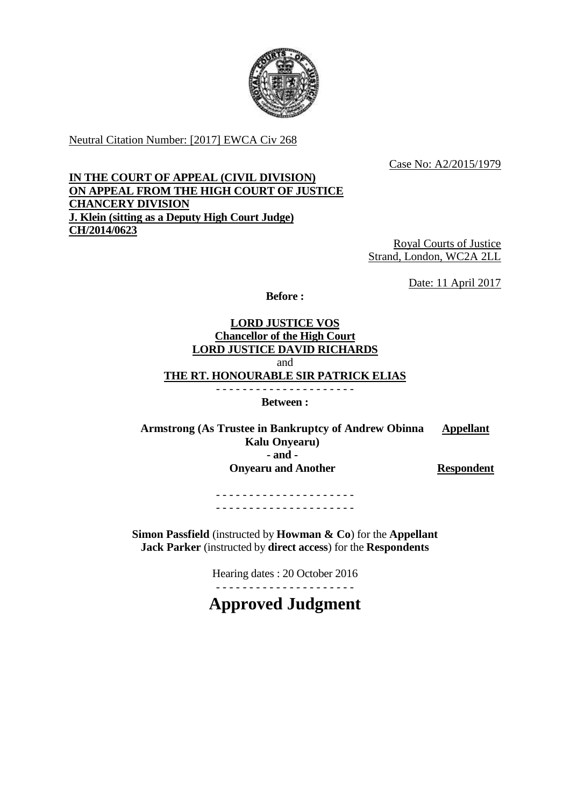

Neutral Citation Number: [2017] EWCA Civ 268

Case No: A2/2015/1979

# **IN THE COURT OF APPEAL (CIVIL DIVISION) ON APPEAL FROM THE HIGH COURT OF JUSTICE CHANCERY DIVISION J. Klein (sitting as a Deputy High Court Judge) CH/2014/0623**

Royal Courts of Justice Strand, London, WC2A 2LL

Date: 11 April 2017

**Before :**

## **LORD JUSTICE VOS Chancellor of the High Court LORD JUSTICE DAVID RICHARDS** and **THE RT. HONOURABLE SIR PATRICK ELIAS** - - - - - - - - - - - - - - - - - - - - -

**Between :**

**Armstrong (As Trustee in Bankruptcy of Andrew Obinna Kalu Onyearu) Appellant - and - Onyearu and Another Respondent** 

- - - - - - - - - - - - - - - - - - - - - - - - - - - - - - - - - - - - - - - - - -

**Simon Passfield** (instructed by **Howman & Co**) for the **Appellant Jack Parker** (instructed by **direct access**) for the **Respondents**

Hearing dates : 20 October 2016

- - - - - - - - - - - - - - - - - - - - -

**Approved Judgment**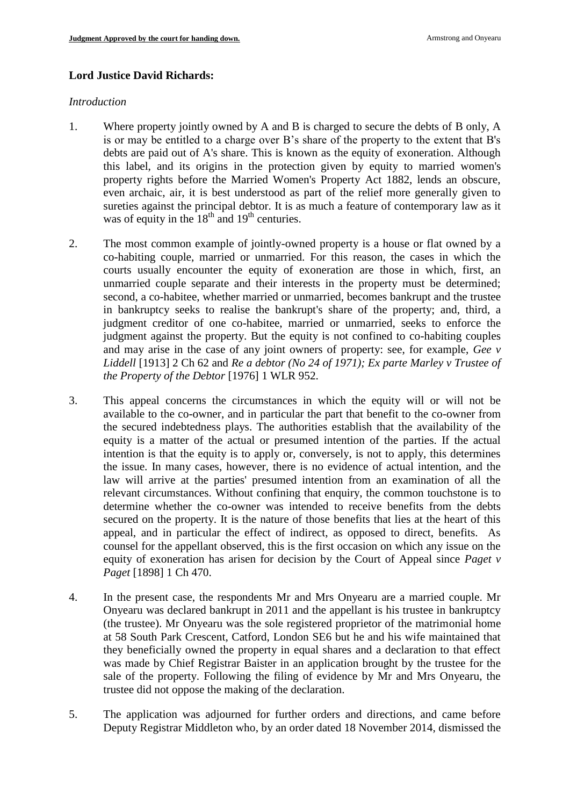## **Lord Justice David Richards:**

#### *Introduction*

- 1. Where property jointly owned by A and B is charged to secure the debts of B only, A is or may be entitled to a charge over B's share of the property to the extent that B's debts are paid out of A's share. This is known as the equity of exoneration. Although this label, and its origins in the protection given by equity to married women's property rights before the Married Women's Property Act 1882, lends an obscure, even archaic, air, it is best understood as part of the relief more generally given to sureties against the principal debtor. It is as much a feature of contemporary law as it was of equity in the  $18^{th}$  and  $19^{th}$  centuries.
- 2. The most common example of jointly-owned property is a house or flat owned by a co-habiting couple, married or unmarried. For this reason, the cases in which the courts usually encounter the equity of exoneration are those in which, first, an unmarried couple separate and their interests in the property must be determined; second, a co-habitee, whether married or unmarried, becomes bankrupt and the trustee in bankruptcy seeks to realise the bankrupt's share of the property; and, third, a judgment creditor of one co-habitee, married or unmarried, seeks to enforce the judgment against the property. But the equity is not confined to co-habiting couples and may arise in the case of any joint owners of property: see, for example, *Gee v Liddell* [1913] 2 Ch 62 and *Re a debtor (No 24 of 1971); Ex parte Marley v Trustee of the Property of the Debtor* [1976] 1 WLR 952.
- 3. This appeal concerns the circumstances in which the equity will or will not be available to the co-owner, and in particular the part that benefit to the co-owner from the secured indebtedness plays. The authorities establish that the availability of the equity is a matter of the actual or presumed intention of the parties. If the actual intention is that the equity is to apply or, conversely, is not to apply, this determines the issue. In many cases, however, there is no evidence of actual intention, and the law will arrive at the parties' presumed intention from an examination of all the relevant circumstances. Without confining that enquiry, the common touchstone is to determine whether the co-owner was intended to receive benefits from the debts secured on the property. It is the nature of those benefits that lies at the heart of this appeal, and in particular the effect of indirect, as opposed to direct, benefits. As counsel for the appellant observed, this is the first occasion on which any issue on the equity of exoneration has arisen for decision by the Court of Appeal since *Paget v Paget* [1898] 1 Ch 470.
- 4. In the present case, the respondents Mr and Mrs Onyearu are a married couple. Mr Onyearu was declared bankrupt in 2011 and the appellant is his trustee in bankruptcy (the trustee). Mr Onyearu was the sole registered proprietor of the matrimonial home at 58 South Park Crescent, Catford, London SE6 but he and his wife maintained that they beneficially owned the property in equal shares and a declaration to that effect was made by Chief Registrar Baister in an application brought by the trustee for the sale of the property. Following the filing of evidence by Mr and Mrs Onyearu, the trustee did not oppose the making of the declaration.
- 5. The application was adjourned for further orders and directions, and came before Deputy Registrar Middleton who, by an order dated 18 November 2014, dismissed the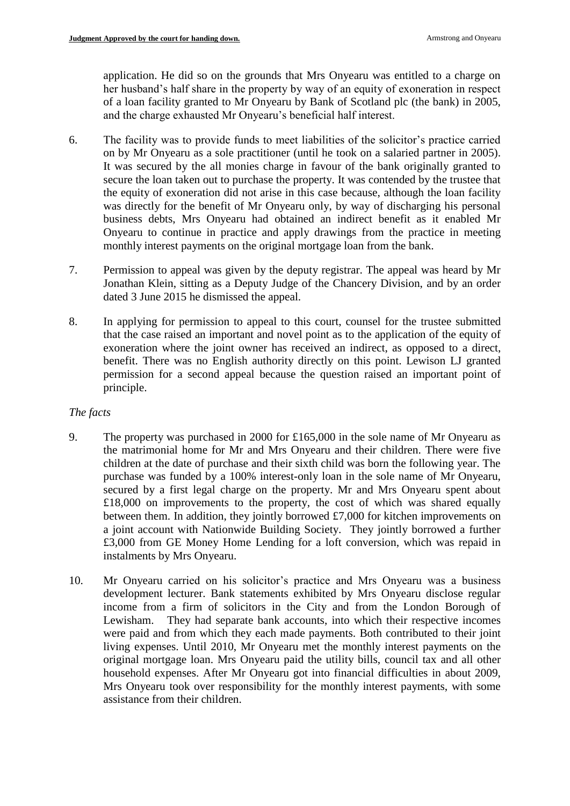application. He did so on the grounds that Mrs Onyearu was entitled to a charge on her husband's half share in the property by way of an equity of exoneration in respect of a loan facility granted to Mr Onyearu by Bank of Scotland plc (the bank) in 2005, and the charge exhausted Mr Onyearu's beneficial half interest.

- 6. The facility was to provide funds to meet liabilities of the solicitor's practice carried on by Mr Onyearu as a sole practitioner (until he took on a salaried partner in 2005). It was secured by the all monies charge in favour of the bank originally granted to secure the loan taken out to purchase the property. It was contended by the trustee that the equity of exoneration did not arise in this case because, although the loan facility was directly for the benefit of Mr Onyearu only, by way of discharging his personal business debts, Mrs Onyearu had obtained an indirect benefit as it enabled Mr Onyearu to continue in practice and apply drawings from the practice in meeting monthly interest payments on the original mortgage loan from the bank.
- 7. Permission to appeal was given by the deputy registrar. The appeal was heard by Mr Jonathan Klein, sitting as a Deputy Judge of the Chancery Division, and by an order dated 3 June 2015 he dismissed the appeal.
- 8. In applying for permission to appeal to this court, counsel for the trustee submitted that the case raised an important and novel point as to the application of the equity of exoneration where the joint owner has received an indirect, as opposed to a direct, benefit. There was no English authority directly on this point. Lewison LJ granted permission for a second appeal because the question raised an important point of principle.

## *The facts*

- 9. The property was purchased in 2000 for £165,000 in the sole name of Mr Onyearu as the matrimonial home for Mr and Mrs Onyearu and their children. There were five children at the date of purchase and their sixth child was born the following year. The purchase was funded by a 100% interest-only loan in the sole name of Mr Onyearu, secured by a first legal charge on the property. Mr and Mrs Onyearu spent about £18,000 on improvements to the property, the cost of which was shared equally between them. In addition, they jointly borrowed £7,000 for kitchen improvements on a joint account with Nationwide Building Society. They jointly borrowed a further £3,000 from GE Money Home Lending for a loft conversion, which was repaid in instalments by Mrs Onyearu.
- 10. Mr Onyearu carried on his solicitor's practice and Mrs Onyearu was a business development lecturer. Bank statements exhibited by Mrs Onyearu disclose regular income from a firm of solicitors in the City and from the London Borough of Lewisham. They had separate bank accounts, into which their respective incomes were paid and from which they each made payments. Both contributed to their joint living expenses. Until 2010, Mr Onyearu met the monthly interest payments on the original mortgage loan. Mrs Onyearu paid the utility bills, council tax and all other household expenses. After Mr Onyearu got into financial difficulties in about 2009, Mrs Onyearu took over responsibility for the monthly interest payments, with some assistance from their children.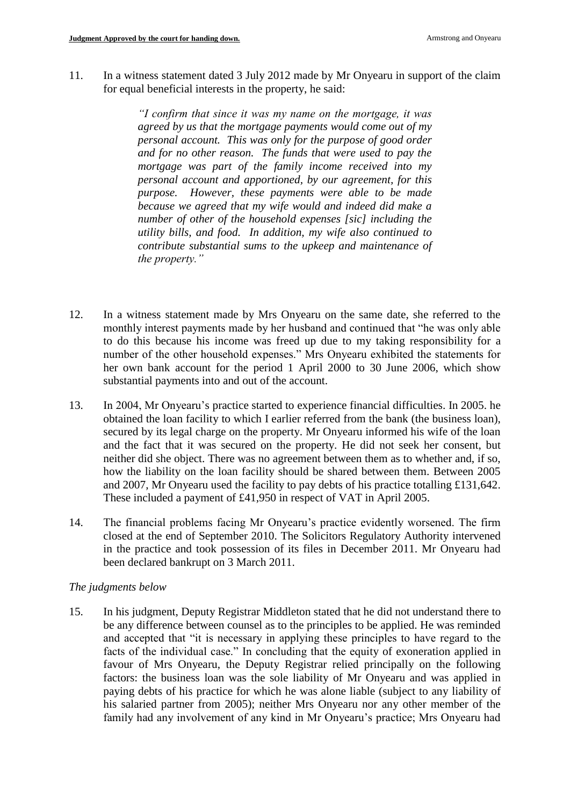11. In a witness statement dated 3 July 2012 made by Mr Onyearu in support of the claim for equal beneficial interests in the property, he said:

> *"I confirm that since it was my name on the mortgage, it was agreed by us that the mortgage payments would come out of my personal account. This was only for the purpose of good order and for no other reason. The funds that were used to pay the mortgage was part of the family income received into my personal account and apportioned, by our agreement, for this purpose. However, these payments were able to be made because we agreed that my wife would and indeed did make a number of other of the household expenses [sic] including the utility bills, and food. In addition, my wife also continued to contribute substantial sums to the upkeep and maintenance of the property."*

- 12. In a witness statement made by Mrs Onyearu on the same date, she referred to the monthly interest payments made by her husband and continued that "he was only able to do this because his income was freed up due to my taking responsibility for a number of the other household expenses." Mrs Onyearu exhibited the statements for her own bank account for the period 1 April 2000 to 30 June 2006, which show substantial payments into and out of the account.
- 13. In 2004, Mr Onyearu's practice started to experience financial difficulties. In 2005. he obtained the loan facility to which I earlier referred from the bank (the business loan), secured by its legal charge on the property. Mr Onyearu informed his wife of the loan and the fact that it was secured on the property. He did not seek her consent, but neither did she object. There was no agreement between them as to whether and, if so, how the liability on the loan facility should be shared between them. Between 2005 and 2007, Mr Onyearu used the facility to pay debts of his practice totalling £131,642. These included a payment of £41,950 in respect of VAT in April 2005.
- 14. The financial problems facing Mr Onyearu's practice evidently worsened. The firm closed at the end of September 2010. The Solicitors Regulatory Authority intervened in the practice and took possession of its files in December 2011. Mr Onyearu had been declared bankrupt on 3 March 2011.

## *The judgments below*

15. In his judgment, Deputy Registrar Middleton stated that he did not understand there to be any difference between counsel as to the principles to be applied. He was reminded and accepted that "it is necessary in applying these principles to have regard to the facts of the individual case." In concluding that the equity of exoneration applied in favour of Mrs Onyearu, the Deputy Registrar relied principally on the following factors: the business loan was the sole liability of Mr Onyearu and was applied in paying debts of his practice for which he was alone liable (subject to any liability of his salaried partner from 2005); neither Mrs Onyearu nor any other member of the family had any involvement of any kind in Mr Onyearu's practice; Mrs Onyearu had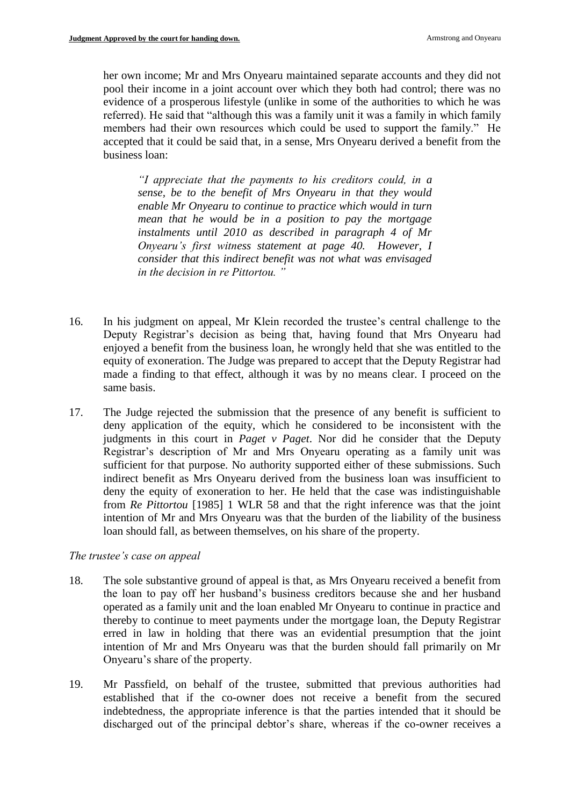her own income; Mr and Mrs Onyearu maintained separate accounts and they did not pool their income in a joint account over which they both had control; there was no evidence of a prosperous lifestyle (unlike in some of the authorities to which he was referred). He said that "although this was a family unit it was a family in which family members had their own resources which could be used to support the family." He accepted that it could be said that, in a sense, Mrs Onyearu derived a benefit from the business loan:

*"I appreciate that the payments to his creditors could, in a sense, be to the benefit of Mrs Onyearu in that they would enable Mr Onyearu to continue to practice which would in turn mean that he would be in a position to pay the mortgage instalments until 2010 as described in paragraph 4 of Mr Onyearu's first witness statement at page 40. However, I consider that this indirect benefit was not what was envisaged in the decision in re Pittortou. "*

- 16. In his judgment on appeal, Mr Klein recorded the trustee's central challenge to the Deputy Registrar's decision as being that, having found that Mrs Onyearu had enjoyed a benefit from the business loan, he wrongly held that she was entitled to the equity of exoneration. The Judge was prepared to accept that the Deputy Registrar had made a finding to that effect, although it was by no means clear. I proceed on the same basis.
- 17. The Judge rejected the submission that the presence of any benefit is sufficient to deny application of the equity, which he considered to be inconsistent with the judgments in this court in *Paget v Paget*. Nor did he consider that the Deputy Registrar's description of Mr and Mrs Onyearu operating as a family unit was sufficient for that purpose. No authority supported either of these submissions. Such indirect benefit as Mrs Onyearu derived from the business loan was insufficient to deny the equity of exoneration to her. He held that the case was indistinguishable from *Re Pittortou* [1985] 1 WLR 58 and that the right inference was that the joint intention of Mr and Mrs Onyearu was that the burden of the liability of the business loan should fall, as between themselves, on his share of the property.

#### *The trustee's case on appeal*

- 18. The sole substantive ground of appeal is that, as Mrs Onyearu received a benefit from the loan to pay off her husband's business creditors because she and her husband operated as a family unit and the loan enabled Mr Onyearu to continue in practice and thereby to continue to meet payments under the mortgage loan, the Deputy Registrar erred in law in holding that there was an evidential presumption that the joint intention of Mr and Mrs Onyearu was that the burden should fall primarily on Mr Onyearu's share of the property.
- 19. Mr Passfield, on behalf of the trustee, submitted that previous authorities had established that if the co-owner does not receive a benefit from the secured indebtedness, the appropriate inference is that the parties intended that it should be discharged out of the principal debtor's share, whereas if the co-owner receives a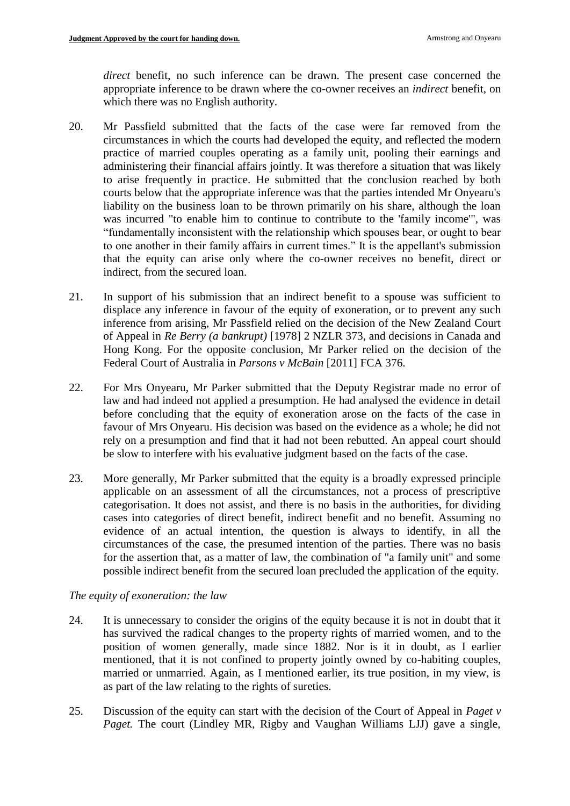*direct* benefit, no such inference can be drawn. The present case concerned the appropriate inference to be drawn where the co-owner receives an *indirect* benefit, on which there was no English authority.

- 20. Mr Passfield submitted that the facts of the case were far removed from the circumstances in which the courts had developed the equity, and reflected the modern practice of married couples operating as a family unit, pooling their earnings and administering their financial affairs jointly. It was therefore a situation that was likely to arise frequently in practice. He submitted that the conclusion reached by both courts below that the appropriate inference was that the parties intended Mr Onyearu's liability on the business loan to be thrown primarily on his share, although the loan was incurred "to enable him to continue to contribute to the 'family income'", was "fundamentally inconsistent with the relationship which spouses bear, or ought to bear to one another in their family affairs in current times." It is the appellant's submission that the equity can arise only where the co-owner receives no benefit, direct or indirect, from the secured loan.
- 21. In support of his submission that an indirect benefit to a spouse was sufficient to displace any inference in favour of the equity of exoneration, or to prevent any such inference from arising, Mr Passfield relied on the decision of the New Zealand Court of Appeal in *Re Berry (a bankrupt)* [1978] 2 NZLR 373, and decisions in Canada and Hong Kong. For the opposite conclusion, Mr Parker relied on the decision of the Federal Court of Australia in *Parsons v McBain* [2011] FCA 376.
- 22. For Mrs Onyearu, Mr Parker submitted that the Deputy Registrar made no error of law and had indeed not applied a presumption. He had analysed the evidence in detail before concluding that the equity of exoneration arose on the facts of the case in favour of Mrs Onyearu. His decision was based on the evidence as a whole; he did not rely on a presumption and find that it had not been rebutted. An appeal court should be slow to interfere with his evaluative judgment based on the facts of the case.
- 23. More generally, Mr Parker submitted that the equity is a broadly expressed principle applicable on an assessment of all the circumstances, not a process of prescriptive categorisation. It does not assist, and there is no basis in the authorities, for dividing cases into categories of direct benefit, indirect benefit and no benefit. Assuming no evidence of an actual intention, the question is always to identify, in all the circumstances of the case, the presumed intention of the parties. There was no basis for the assertion that, as a matter of law, the combination of "a family unit" and some possible indirect benefit from the secured loan precluded the application of the equity.

## *The equity of exoneration: the law*

- 24. It is unnecessary to consider the origins of the equity because it is not in doubt that it has survived the radical changes to the property rights of married women, and to the position of women generally, made since 1882. Nor is it in doubt, as I earlier mentioned, that it is not confined to property jointly owned by co-habiting couples, married or unmarried. Again, as I mentioned earlier, its true position, in my view, is as part of the law relating to the rights of sureties.
- 25. Discussion of the equity can start with the decision of the Court of Appeal in *Paget v Paget.* The court (Lindley MR, Rigby and Vaughan Williams LJJ) gave a single,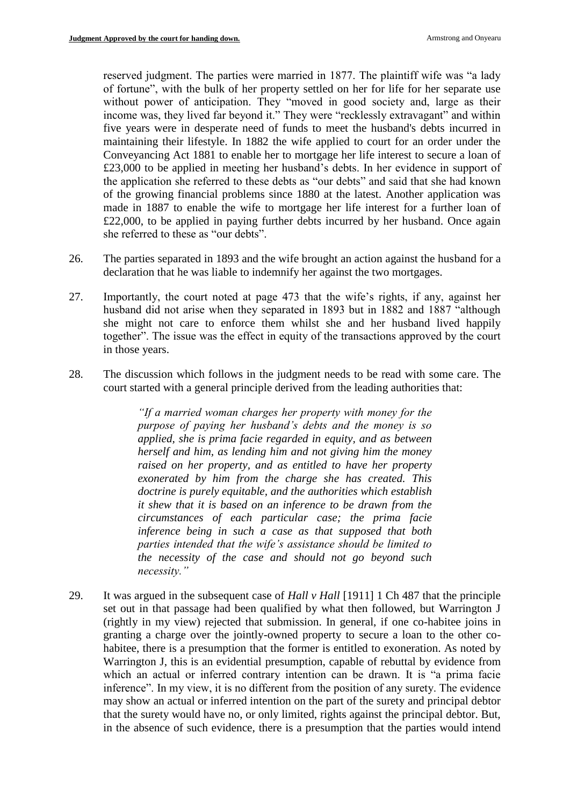reserved judgment. The parties were married in 1877. The plaintiff wife was "a lady of fortune", with the bulk of her property settled on her for life for her separate use without power of anticipation. They "moved in good society and, large as their income was, they lived far beyond it." They were "recklessly extravagant" and within five years were in desperate need of funds to meet the husband's debts incurred in maintaining their lifestyle. In 1882 the wife applied to court for an order under the Conveyancing Act 1881 to enable her to mortgage her life interest to secure a loan of £23,000 to be applied in meeting her husband's debts. In her evidence in support of the application she referred to these debts as "our debts" and said that she had known of the growing financial problems since 1880 at the latest. Another application was made in 1887 to enable the wife to mortgage her life interest for a further loan of £22,000, to be applied in paying further debts incurred by her husband. Once again she referred to these as "our debts".

- 26. The parties separated in 1893 and the wife brought an action against the husband for a declaration that he was liable to indemnify her against the two mortgages.
- 27. Importantly, the court noted at page 473 that the wife's rights, if any, against her husband did not arise when they separated in 1893 but in 1882 and 1887 "although she might not care to enforce them whilst she and her husband lived happily together". The issue was the effect in equity of the transactions approved by the court in those years.
- 28. The discussion which follows in the judgment needs to be read with some care. The court started with a general principle derived from the leading authorities that:

*"If a married woman charges her property with money for the purpose of paying her husband's debts and the money is so applied, she is prima facie regarded in equity, and as between herself and him, as lending him and not giving him the money raised on her property, and as entitled to have her property exonerated by him from the charge she has created. This doctrine is purely equitable, and the authorities which establish it shew that it is based on an inference to be drawn from the circumstances of each particular case; the prima facie inference being in such a case as that supposed that both parties intended that the wife's assistance should be limited to the necessity of the case and should not go beyond such necessity."*

29. It was argued in the subsequent case of *Hall v Hall* [1911] 1 Ch 487 that the principle set out in that passage had been qualified by what then followed, but Warrington J (rightly in my view) rejected that submission. In general, if one co-habitee joins in granting a charge over the jointly-owned property to secure a loan to the other cohabitee, there is a presumption that the former is entitled to exoneration. As noted by Warrington J, this is an evidential presumption, capable of rebuttal by evidence from which an actual or inferred contrary intention can be drawn. It is "a prima facie inference". In my view, it is no different from the position of any surety. The evidence may show an actual or inferred intention on the part of the surety and principal debtor that the surety would have no, or only limited, rights against the principal debtor. But, in the absence of such evidence, there is a presumption that the parties would intend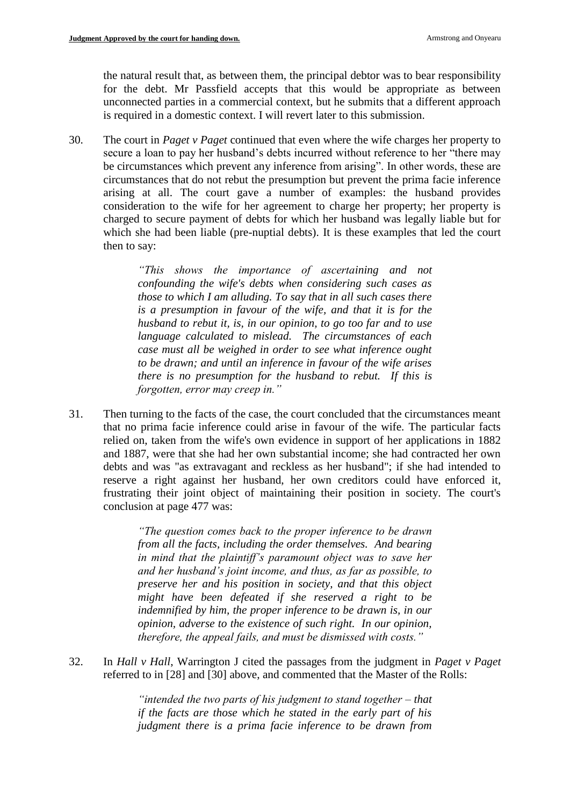the natural result that, as between them, the principal debtor was to bear responsibility for the debt. Mr Passfield accepts that this would be appropriate as between unconnected parties in a commercial context, but he submits that a different approach is required in a domestic context. I will revert later to this submission.

30. The court in *Paget v Paget* continued that even where the wife charges her property to secure a loan to pay her husband's debts incurred without reference to her "there may be circumstances which prevent any inference from arising". In other words, these are circumstances that do not rebut the presumption but prevent the prima facie inference arising at all. The court gave a number of examples: the husband provides consideration to the wife for her agreement to charge her property; her property is charged to secure payment of debts for which her husband was legally liable but for which she had been liable (pre-nuptial debts). It is these examples that led the court then to say:

> *"This shows the importance of ascertaining and not confounding the wife's debts when considering such cases as those to which I am alluding. To say that in all such cases there is a presumption in favour of the wife, and that it is for the husband to rebut it, is, in our opinion, to go too far and to use language calculated to mislead. The circumstances of each case must all be weighed in order to see what inference ought to be drawn; and until an inference in favour of the wife arises there is no presumption for the husband to rebut. If this is forgotten, error may creep in."*

31. Then turning to the facts of the case, the court concluded that the circumstances meant that no prima facie inference could arise in favour of the wife. The particular facts relied on, taken from the wife's own evidence in support of her applications in 1882 and 1887, were that she had her own substantial income; she had contracted her own debts and was "as extravagant and reckless as her husband"; if she had intended to reserve a right against her husband, her own creditors could have enforced it, frustrating their joint object of maintaining their position in society. The court's conclusion at page 477 was:

> *"The question comes back to the proper inference to be drawn from all the facts, including the order themselves. And bearing in mind that the plaintiff's paramount object was to save her and her husband's joint income, and thus, as far as possible, to preserve her and his position in society, and that this object might have been defeated if she reserved a right to be indemnified by him, the proper inference to be drawn is, in our opinion, adverse to the existence of such right. In our opinion, therefore, the appeal fails, and must be dismissed with costs."*

32. In *Hall v Hall*, Warrington J cited the passages from the judgment in *Paget v Paget*  referred to in [28] and [30] above, and commented that the Master of the Rolls:

> *"intended the two parts of his judgment to stand together – that if the facts are those which he stated in the early part of his judgment there is a prima facie inference to be drawn from*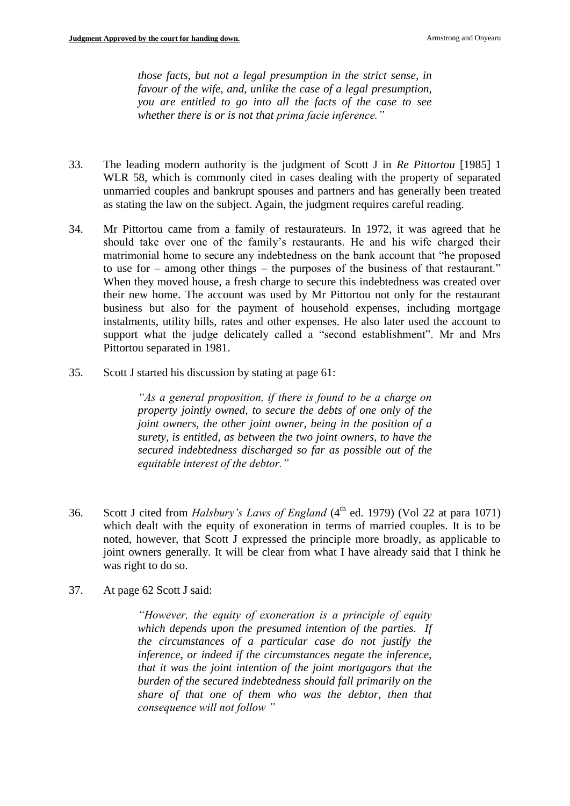*those facts, but not a legal presumption in the strict sense, in favour of the wife, and, unlike the case of a legal presumption, you are entitled to go into all the facts of the case to see whether there is or is not that prima facie inference."*

- 33. The leading modern authority is the judgment of Scott J in *Re Pittortou* [1985] 1 WLR 58, which is commonly cited in cases dealing with the property of separated unmarried couples and bankrupt spouses and partners and has generally been treated as stating the law on the subject. Again, the judgment requires careful reading.
- 34. Mr Pittortou came from a family of restaurateurs. In 1972, it was agreed that he should take over one of the family's restaurants. He and his wife charged their matrimonial home to secure any indebtedness on the bank account that "he proposed to use for – among other things – the purposes of the business of that restaurant." When they moved house, a fresh charge to secure this indebtedness was created over their new home. The account was used by Mr Pittortou not only for the restaurant business but also for the payment of household expenses, including mortgage instalments, utility bills, rates and other expenses. He also later used the account to support what the judge delicately called a "second establishment". Mr and Mrs Pittortou separated in 1981.
- 35. Scott J started his discussion by stating at page 61:

*"As a general proposition, if there is found to be a charge on property jointly owned, to secure the debts of one only of the joint owners, the other joint owner, being in the position of a surety, is entitled, as between the two joint owners, to have the secured indebtedness discharged so far as possible out of the equitable interest of the debtor."*

- 36. Scott J cited from *Halsbury's Laws of England* (4<sup>th</sup> ed. 1979) (Vol 22 at para 1071) which dealt with the equity of exoneration in terms of married couples. It is to be noted, however, that Scott J expressed the principle more broadly, as applicable to joint owners generally. It will be clear from what I have already said that I think he was right to do so.
- 37. At page 62 Scott J said:

*"However, the equity of exoneration is a principle of equity which depends upon the presumed intention of the parties. If the circumstances of a particular case do not justify the inference, or indeed if the circumstances negate the inference, that it was the joint intention of the joint mortgagors that the burden of the secured indebtedness should fall primarily on the share of that one of them who was the debtor, then that consequence will not follow "*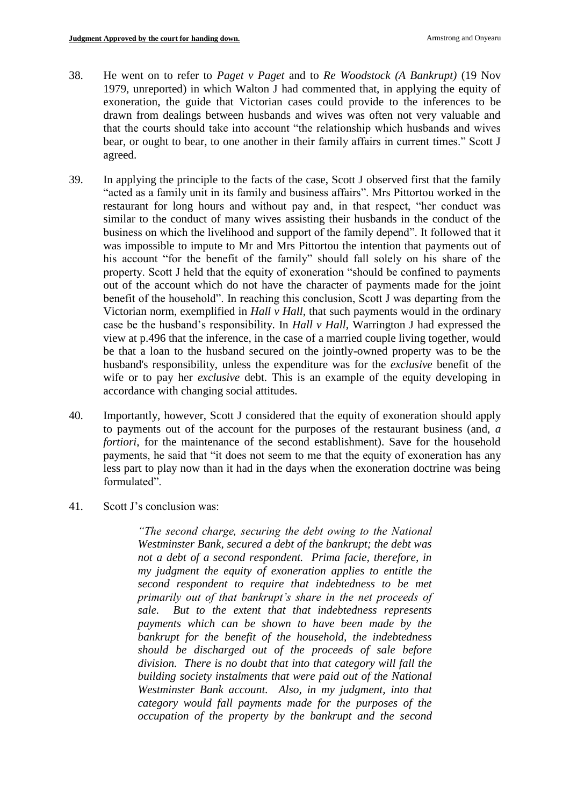- 38. He went on to refer to *Paget v Paget* and to *Re Woodstock (A Bankrupt)* (19 Nov 1979, unreported) in which Walton J had commented that, in applying the equity of exoneration, the guide that Victorian cases could provide to the inferences to be drawn from dealings between husbands and wives was often not very valuable and that the courts should take into account "the relationship which husbands and wives bear, or ought to bear, to one another in their family affairs in current times." Scott J agreed.
- 39. In applying the principle to the facts of the case, Scott J observed first that the family "acted as a family unit in its family and business affairs". Mrs Pittortou worked in the restaurant for long hours and without pay and, in that respect, "her conduct was similar to the conduct of many wives assisting their husbands in the conduct of the business on which the livelihood and support of the family depend". It followed that it was impossible to impute to Mr and Mrs Pittortou the intention that payments out of his account "for the benefit of the family" should fall solely on his share of the property. Scott J held that the equity of exoneration "should be confined to payments out of the account which do not have the character of payments made for the joint benefit of the household". In reaching this conclusion, Scott J was departing from the Victorian norm, exemplified in *Hall v Hall*, that such payments would in the ordinary case be the husband's responsibility. In *Hall v Hall,* Warrington J had expressed the view at p.496 that the inference, in the case of a married couple living together, would be that a loan to the husband secured on the jointly-owned property was to be the husband's responsibility, unless the expenditure was for the *exclusive* benefit of the wife or to pay her *exclusive* debt. This is an example of the equity developing in accordance with changing social attitudes.
- 40. Importantly, however, Scott J considered that the equity of exoneration should apply to payments out of the account for the purposes of the restaurant business (and, *a fortiori*, for the maintenance of the second establishment). Save for the household payments, he said that "it does not seem to me that the equity of exoneration has any less part to play now than it had in the days when the exoneration doctrine was being formulated".
- 41. Scott J's conclusion was:

*"The second charge, securing the debt owing to the National Westminster Bank, secured a debt of the bankrupt; the debt was not a debt of a second respondent. Prima facie, therefore, in my judgment the equity of exoneration applies to entitle the second respondent to require that indebtedness to be met primarily out of that bankrupt's share in the net proceeds of sale. But to the extent that that indebtedness represents payments which can be shown to have been made by the bankrupt for the benefit of the household, the indebtedness should be discharged out of the proceeds of sale before division. There is no doubt that into that category will fall the building society instalments that were paid out of the National Westminster Bank account. Also, in my judgment, into that category would fall payments made for the purposes of the occupation of the property by the bankrupt and the second*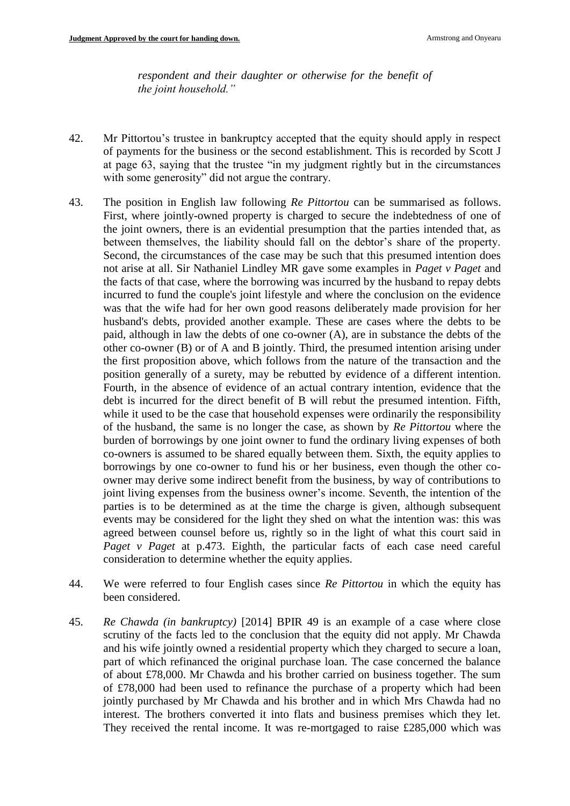*respondent and their daughter or otherwise for the benefit of the joint household."*

- 42. Mr Pittortou's trustee in bankruptcy accepted that the equity should apply in respect of payments for the business or the second establishment. This is recorded by Scott J at page 63, saying that the trustee "in my judgment rightly but in the circumstances with some generosity" did not argue the contrary.
- 43. The position in English law following *Re Pittortou* can be summarised as follows. First, where jointly-owned property is charged to secure the indebtedness of one of the joint owners, there is an evidential presumption that the parties intended that, as between themselves, the liability should fall on the debtor's share of the property. Second, the circumstances of the case may be such that this presumed intention does not arise at all. Sir Nathaniel Lindley MR gave some examples in *Paget v Paget* and the facts of that case, where the borrowing was incurred by the husband to repay debts incurred to fund the couple's joint lifestyle and where the conclusion on the evidence was that the wife had for her own good reasons deliberately made provision for her husband's debts, provided another example. These are cases where the debts to be paid, although in law the debts of one co-owner (A), are in substance the debts of the other co-owner (B) or of A and B jointly. Third, the presumed intention arising under the first proposition above, which follows from the nature of the transaction and the position generally of a surety, may be rebutted by evidence of a different intention. Fourth, in the absence of evidence of an actual contrary intention, evidence that the debt is incurred for the direct benefit of B will rebut the presumed intention. Fifth, while it used to be the case that household expenses were ordinarily the responsibility of the husband, the same is no longer the case, as shown by *Re Pittortou* where the burden of borrowings by one joint owner to fund the ordinary living expenses of both co-owners is assumed to be shared equally between them. Sixth, the equity applies to borrowings by one co-owner to fund his or her business, even though the other coowner may derive some indirect benefit from the business, by way of contributions to joint living expenses from the business owner's income. Seventh, the intention of the parties is to be determined as at the time the charge is given, although subsequent events may be considered for the light they shed on what the intention was: this was agreed between counsel before us, rightly so in the light of what this court said in *Paget v Paget* at p.473. Eighth, the particular facts of each case need careful consideration to determine whether the equity applies.
- 44. We were referred to four English cases since *Re Pittortou* in which the equity has been considered.
- 45. *Re Chawda (in bankruptcy)* [2014] BPIR 49 is an example of a case where close scrutiny of the facts led to the conclusion that the equity did not apply. Mr Chawda and his wife jointly owned a residential property which they charged to secure a loan, part of which refinanced the original purchase loan. The case concerned the balance of about £78,000. Mr Chawda and his brother carried on business together. The sum of £78,000 had been used to refinance the purchase of a property which had been jointly purchased by Mr Chawda and his brother and in which Mrs Chawda had no interest. The brothers converted it into flats and business premises which they let. They received the rental income. It was re-mortgaged to raise £285,000 which was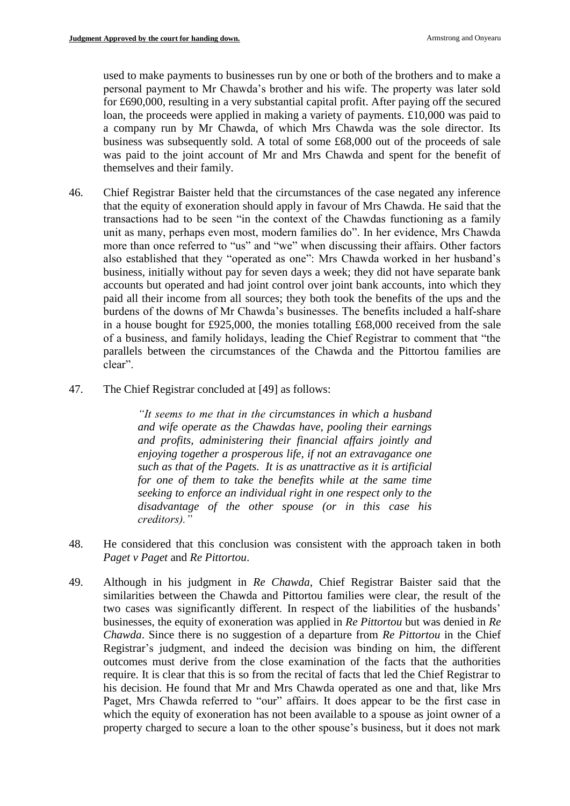used to make payments to businesses run by one or both of the brothers and to make a personal payment to Mr Chawda's brother and his wife. The property was later sold for £690,000, resulting in a very substantial capital profit. After paying off the secured loan, the proceeds were applied in making a variety of payments. £10,000 was paid to a company run by Mr Chawda, of which Mrs Chawda was the sole director. Its business was subsequently sold. A total of some £68,000 out of the proceeds of sale was paid to the joint account of Mr and Mrs Chawda and spent for the benefit of themselves and their family.

- 46. Chief Registrar Baister held that the circumstances of the case negated any inference that the equity of exoneration should apply in favour of Mrs Chawda. He said that the transactions had to be seen "in the context of the Chawdas functioning as a family unit as many, perhaps even most, modern families do". In her evidence, Mrs Chawda more than once referred to "us" and "we" when discussing their affairs. Other factors also established that they "operated as one": Mrs Chawda worked in her husband's business, initially without pay for seven days a week; they did not have separate bank accounts but operated and had joint control over joint bank accounts, into which they paid all their income from all sources; they both took the benefits of the ups and the burdens of the downs of Mr Chawda's businesses. The benefits included a half-share in a house bought for £925,000, the monies totalling £68,000 received from the sale of a business, and family holidays, leading the Chief Registrar to comment that "the parallels between the circumstances of the Chawda and the Pittortou families are clear".
- 47. The Chief Registrar concluded at [49] as follows:

*"It seems to me that in the circumstances in which a husband and wife operate as the Chawdas have, pooling their earnings and profits, administering their financial affairs jointly and enjoying together a prosperous life, if not an extravagance one such as that of the Pagets. It is as unattractive as it is artificial for one of them to take the benefits while at the same time seeking to enforce an individual right in one respect only to the disadvantage of the other spouse (or in this case his creditors)."*

- 48. He considered that this conclusion was consistent with the approach taken in both *Paget v Paget* and *Re Pittortou*.
- 49. Although in his judgment in *Re Chawda*, Chief Registrar Baister said that the similarities between the Chawda and Pittortou families were clear, the result of the two cases was significantly different. In respect of the liabilities of the husbands' businesses, the equity of exoneration was applied in *Re Pittortou* but was denied in *Re Chawda*. Since there is no suggestion of a departure from *Re Pittortou* in the Chief Registrar's judgment, and indeed the decision was binding on him, the different outcomes must derive from the close examination of the facts that the authorities require. It is clear that this is so from the recital of facts that led the Chief Registrar to his decision. He found that Mr and Mrs Chawda operated as one and that, like Mrs Paget, Mrs Chawda referred to "our" affairs. It does appear to be the first case in which the equity of exoneration has not been available to a spouse as joint owner of a property charged to secure a loan to the other spouse's business, but it does not mark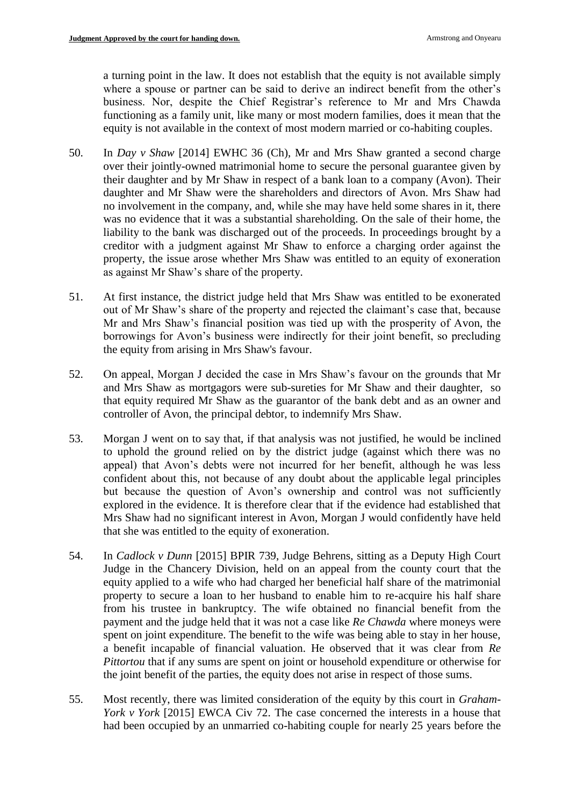a turning point in the law. It does not establish that the equity is not available simply where a spouse or partner can be said to derive an indirect benefit from the other's business. Nor, despite the Chief Registrar's reference to Mr and Mrs Chawda functioning as a family unit, like many or most modern families, does it mean that the equity is not available in the context of most modern married or co-habiting couples.

- 50. In *Day v Shaw* [2014] EWHC 36 (Ch), Mr and Mrs Shaw granted a second charge over their jointly-owned matrimonial home to secure the personal guarantee given by their daughter and by Mr Shaw in respect of a bank loan to a company (Avon). Their daughter and Mr Shaw were the shareholders and directors of Avon. Mrs Shaw had no involvement in the company, and, while she may have held some shares in it, there was no evidence that it was a substantial shareholding. On the sale of their home, the liability to the bank was discharged out of the proceeds. In proceedings brought by a creditor with a judgment against Mr Shaw to enforce a charging order against the property, the issue arose whether Mrs Shaw was entitled to an equity of exoneration as against Mr Shaw's share of the property.
- 51. At first instance, the district judge held that Mrs Shaw was entitled to be exonerated out of Mr Shaw's share of the property and rejected the claimant's case that, because Mr and Mrs Shaw's financial position was tied up with the prosperity of Avon, the borrowings for Avon's business were indirectly for their joint benefit, so precluding the equity from arising in Mrs Shaw's favour.
- 52. On appeal, Morgan J decided the case in Mrs Shaw's favour on the grounds that Mr and Mrs Shaw as mortgagors were sub-sureties for Mr Shaw and their daughter, so that equity required Mr Shaw as the guarantor of the bank debt and as an owner and controller of Avon, the principal debtor, to indemnify Mrs Shaw.
- 53. Morgan J went on to say that, if that analysis was not justified, he would be inclined to uphold the ground relied on by the district judge (against which there was no appeal) that Avon's debts were not incurred for her benefit, although he was less confident about this, not because of any doubt about the applicable legal principles but because the question of Avon's ownership and control was not sufficiently explored in the evidence. It is therefore clear that if the evidence had established that Mrs Shaw had no significant interest in Avon, Morgan J would confidently have held that she was entitled to the equity of exoneration.
- 54. In *Cadlock v Dunn* [2015] BPIR 739, Judge Behrens, sitting as a Deputy High Court Judge in the Chancery Division, held on an appeal from the county court that the equity applied to a wife who had charged her beneficial half share of the matrimonial property to secure a loan to her husband to enable him to re-acquire his half share from his trustee in bankruptcy. The wife obtained no financial benefit from the payment and the judge held that it was not a case like *Re Chawda* where moneys were spent on joint expenditure. The benefit to the wife was being able to stay in her house, a benefit incapable of financial valuation. He observed that it was clear from *Re Pittortou* that if any sums are spent on joint or household expenditure or otherwise for the joint benefit of the parties, the equity does not arise in respect of those sums.
- 55. Most recently, there was limited consideration of the equity by this court in *Graham-York v York* [2015] EWCA Civ 72. The case concerned the interests in a house that had been occupied by an unmarried co-habiting couple for nearly 25 years before the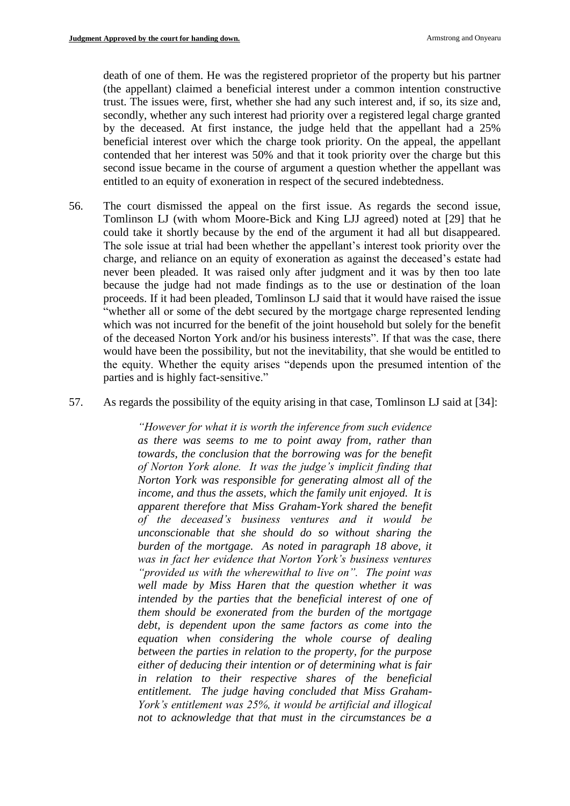death of one of them. He was the registered proprietor of the property but his partner (the appellant) claimed a beneficial interest under a common intention constructive trust. The issues were, first, whether she had any such interest and, if so, its size and, secondly, whether any such interest had priority over a registered legal charge granted by the deceased. At first instance, the judge held that the appellant had a 25% beneficial interest over which the charge took priority. On the appeal, the appellant contended that her interest was 50% and that it took priority over the charge but this second issue became in the course of argument a question whether the appellant was entitled to an equity of exoneration in respect of the secured indebtedness.

- 56. The court dismissed the appeal on the first issue. As regards the second issue, Tomlinson LJ (with whom Moore-Bick and King LJJ agreed) noted at [29] that he could take it shortly because by the end of the argument it had all but disappeared. The sole issue at trial had been whether the appellant's interest took priority over the charge, and reliance on an equity of exoneration as against the deceased's estate had never been pleaded. It was raised only after judgment and it was by then too late because the judge had not made findings as to the use or destination of the loan proceeds. If it had been pleaded, Tomlinson LJ said that it would have raised the issue "whether all or some of the debt secured by the mortgage charge represented lending which was not incurred for the benefit of the joint household but solely for the benefit of the deceased Norton York and/or his business interests". If that was the case, there would have been the possibility, but not the inevitability, that she would be entitled to the equity. Whether the equity arises "depends upon the presumed intention of the parties and is highly fact-sensitive."
- 57. As regards the possibility of the equity arising in that case, Tomlinson LJ said at [34]:

*"However for what it is worth the inference from such evidence as there was seems to me to point away from, rather than towards, the conclusion that the borrowing was for the benefit of Norton York alone. It was the judge's implicit finding that Norton York was responsible for generating almost all of the income, and thus the assets, which the family unit enjoyed. It is apparent therefore that Miss Graham-York shared the benefit of the deceased's business ventures and it would be unconscionable that she should do so without sharing the burden of the mortgage. As noted in paragraph 18 above, it was in fact her evidence that Norton York's business ventures "provided us with the wherewithal to live on". The point was well made by Miss Haren that the question whether it was*  intended by the parties that the beneficial interest of one of *them should be exonerated from the burden of the mortgage debt, is dependent upon the same factors as come into the equation when considering the whole course of dealing between the parties in relation to the property, for the purpose either of deducing their intention or of determining what is fair in relation to their respective shares of the beneficial entitlement. The judge having concluded that Miss Graham-York's entitlement was 25%, it would be artificial and illogical not to acknowledge that that must in the circumstances be a*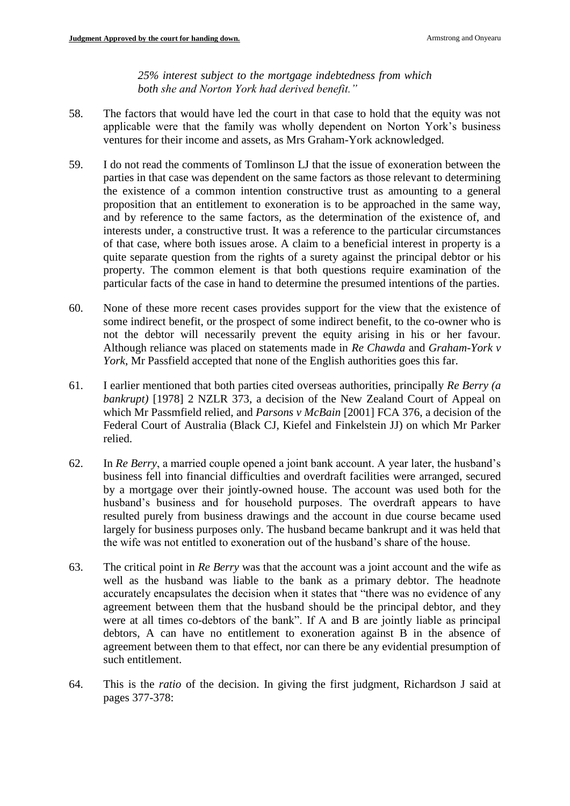*25% interest subject to the mortgage indebtedness from which both she and Norton York had derived benefit."*

- 58. The factors that would have led the court in that case to hold that the equity was not applicable were that the family was wholly dependent on Norton York's business ventures for their income and assets, as Mrs Graham-York acknowledged.
- 59. I do not read the comments of Tomlinson LJ that the issue of exoneration between the parties in that case was dependent on the same factors as those relevant to determining the existence of a common intention constructive trust as amounting to a general proposition that an entitlement to exoneration is to be approached in the same way, and by reference to the same factors, as the determination of the existence of, and interests under, a constructive trust. It was a reference to the particular circumstances of that case, where both issues arose. A claim to a beneficial interest in property is a quite separate question from the rights of a surety against the principal debtor or his property. The common element is that both questions require examination of the particular facts of the case in hand to determine the presumed intentions of the parties.
- 60. None of these more recent cases provides support for the view that the existence of some indirect benefit, or the prospect of some indirect benefit, to the co-owner who is not the debtor will necessarily prevent the equity arising in his or her favour. Although reliance was placed on statements made in *Re Chawda* and *Graham-York v York*, Mr Passfield accepted that none of the English authorities goes this far.
- 61. I earlier mentioned that both parties cited overseas authorities, principally *Re Berry (a bankrupt)* [1978] 2 NZLR 373, a decision of the New Zealand Court of Appeal on which Mr Passmfield relied, and *Parsons v McBain* [2001] FCA 376, a decision of the Federal Court of Australia (Black CJ, Kiefel and Finkelstein JJ) on which Mr Parker relied.
- 62. In *Re Berry*, a married couple opened a joint bank account. A year later, the husband's business fell into financial difficulties and overdraft facilities were arranged, secured by a mortgage over their jointly-owned house. The account was used both for the husband's business and for household purposes. The overdraft appears to have resulted purely from business drawings and the account in due course became used largely for business purposes only. The husband became bankrupt and it was held that the wife was not entitled to exoneration out of the husband's share of the house.
- 63. The critical point in *Re Berry* was that the account was a joint account and the wife as well as the husband was liable to the bank as a primary debtor. The headnote accurately encapsulates the decision when it states that "there was no evidence of any agreement between them that the husband should be the principal debtor, and they were at all times co-debtors of the bank". If A and B are jointly liable as principal debtors, A can have no entitlement to exoneration against B in the absence of agreement between them to that effect, nor can there be any evidential presumption of such entitlement.
- 64. This is the *ratio* of the decision. In giving the first judgment, Richardson J said at pages 377-378: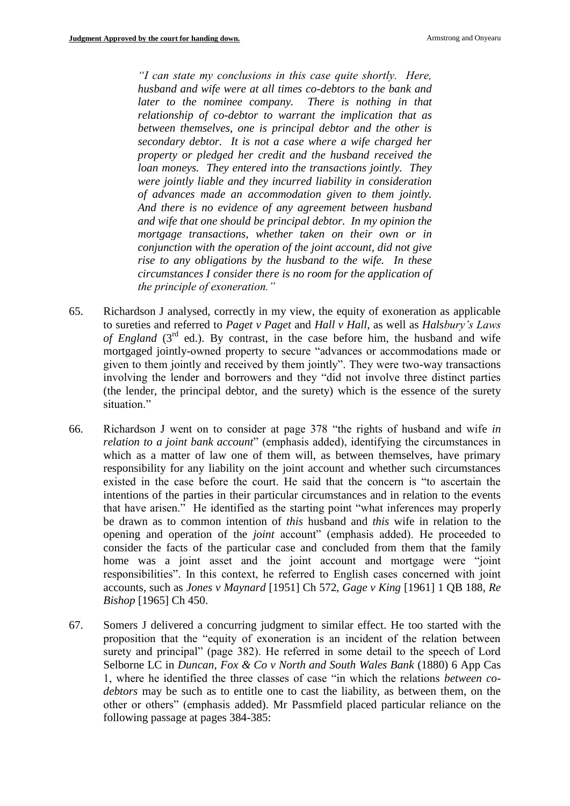*"I can state my conclusions in this case quite shortly. Here, husband and wife were at all times co-debtors to the bank and later to the nominee company. There is nothing in that relationship of co-debtor to warrant the implication that as between themselves, one is principal debtor and the other is secondary debtor. It is not a case where a wife charged her property or pledged her credit and the husband received the loan moneys. They entered into the transactions jointly. They were jointly liable and they incurred liability in consideration of advances made an accommodation given to them jointly. And there is no evidence of any agreement between husband and wife that one should be principal debtor. In my opinion the mortgage transactions, whether taken on their own or in conjunction with the operation of the joint account, did not give rise to any obligations by the husband to the wife. In these circumstances I consider there is no room for the application of the principle of exoneration."*

- 65. Richardson J analysed, correctly in my view, the equity of exoneration as applicable to sureties and referred to *Paget v Paget* and *Hall v Hall*, as well as *Halsbury's Laws of England*  $(3<sup>rd</sup>$  ed.). By contrast, in the case before him, the husband and wife mortgaged jointly-owned property to secure "advances or accommodations made or given to them jointly and received by them jointly". They were two-way transactions involving the lender and borrowers and they "did not involve three distinct parties (the lender, the principal debtor, and the surety) which is the essence of the surety situation."
- 66. Richardson J went on to consider at page 378 "the rights of husband and wife *in relation to a joint bank account*" (emphasis added), identifying the circumstances in which as a matter of law one of them will, as between themselves, have primary responsibility for any liability on the joint account and whether such circumstances existed in the case before the court. He said that the concern is "to ascertain the intentions of the parties in their particular circumstances and in relation to the events that have arisen." He identified as the starting point "what inferences may properly be drawn as to common intention of *this* husband and *this* wife in relation to the opening and operation of the *joint* account" (emphasis added). He proceeded to consider the facts of the particular case and concluded from them that the family home was a joint asset and the joint account and mortgage were "joint responsibilities". In this context, he referred to English cases concerned with joint accounts, such as *Jones v Maynard* [1951] Ch 572, *Gage v King* [1961] 1 QB 188, *Re Bishop* [1965] Ch 450.
- 67. Somers J delivered a concurring judgment to similar effect. He too started with the proposition that the "equity of exoneration is an incident of the relation between surety and principal" (page 382). He referred in some detail to the speech of Lord Selborne LC in *Duncan, Fox & Co v North and South Wales Bank* (1880) 6 App Cas 1, where he identified the three classes of case "in which the relations *between codebtors* may be such as to entitle one to cast the liability, as between them, on the other or others" (emphasis added). Mr Passmfield placed particular reliance on the following passage at pages 384-385: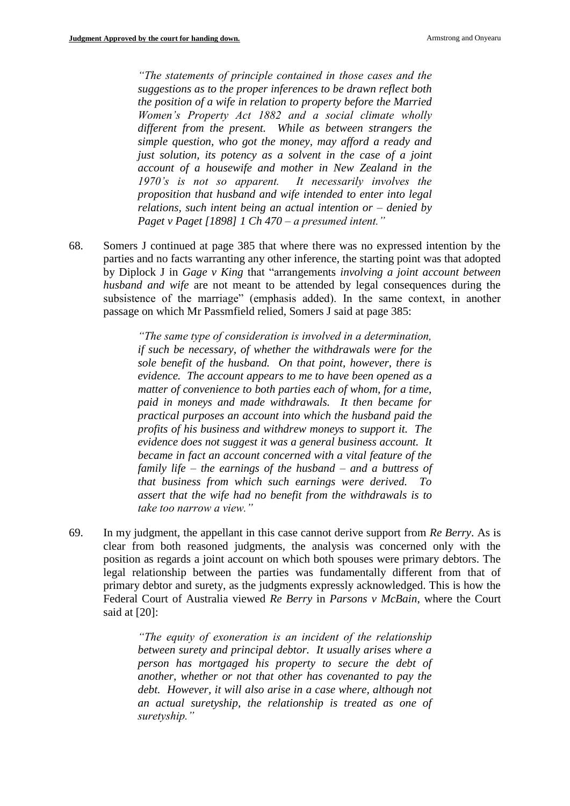*"The statements of principle contained in those cases and the suggestions as to the proper inferences to be drawn reflect both the position of a wife in relation to property before the Married Women's Property Act 1882 and a social climate wholly different from the present. While as between strangers the simple question, who got the money, may afford a ready and just solution, its potency as a solvent in the case of a joint account of a housewife and mother in New Zealand in the 1970's is not so apparent. It necessarily involves the proposition that husband and wife intended to enter into legal relations, such intent being an actual intention or – denied by Paget v Paget [1898] 1 Ch 470 – a presumed intent."*

68. Somers J continued at page 385 that where there was no expressed intention by the parties and no facts warranting any other inference, the starting point was that adopted by Diplock J in *Gage v King* that "arrangements *involving a joint account between husband and wife* are not meant to be attended by legal consequences during the subsistence of the marriage" (emphasis added). In the same context, in another passage on which Mr Passmfield relied, Somers J said at page 385:

> *"The same type of consideration is involved in a determination, if such be necessary, of whether the withdrawals were for the sole benefit of the husband. On that point, however, there is evidence. The account appears to me to have been opened as a matter of convenience to both parties each of whom, for a time, paid in moneys and made withdrawals. It then became for practical purposes an account into which the husband paid the profits of his business and withdrew moneys to support it. The evidence does not suggest it was a general business account. It became in fact an account concerned with a vital feature of the family life – the earnings of the husband – and a buttress of that business from which such earnings were derived. To assert that the wife had no benefit from the withdrawals is to take too narrow a view."*

69. In my judgment, the appellant in this case cannot derive support from *Re Berry*. As is clear from both reasoned judgments, the analysis was concerned only with the position as regards a joint account on which both spouses were primary debtors. The legal relationship between the parties was fundamentally different from that of primary debtor and surety, as the judgments expressly acknowledged. This is how the Federal Court of Australia viewed *Re Berry* in *Parsons v McBain*, where the Court said at [20]:

> *"The equity of exoneration is an incident of the relationship between surety and principal debtor. It usually arises where a person has mortgaged his property to secure the debt of another, whether or not that other has covenanted to pay the debt. However, it will also arise in a case where, although not an actual suretyship, the relationship is treated as one of suretyship."*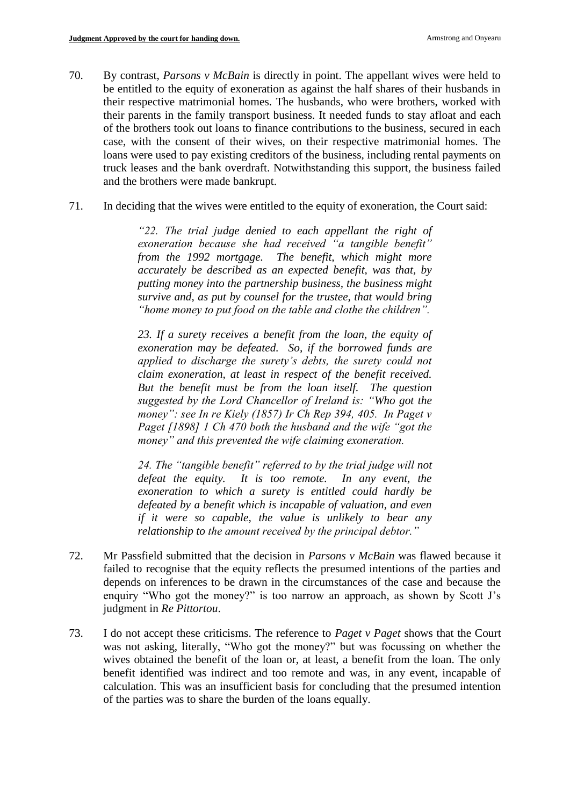- 70. By contrast, *Parsons v McBain* is directly in point. The appellant wives were held to be entitled to the equity of exoneration as against the half shares of their husbands in their respective matrimonial homes. The husbands, who were brothers, worked with their parents in the family transport business. It needed funds to stay afloat and each of the brothers took out loans to finance contributions to the business, secured in each case, with the consent of their wives, on their respective matrimonial homes. The loans were used to pay existing creditors of the business, including rental payments on truck leases and the bank overdraft. Notwithstanding this support, the business failed and the brothers were made bankrupt.
- 71. In deciding that the wives were entitled to the equity of exoneration, the Court said:

*"22. The trial judge denied to each appellant the right of exoneration because she had received "a tangible benefit" from the 1992 mortgage. The benefit, which might more accurately be described as an expected benefit, was that, by putting money into the partnership business, the business might survive and, as put by counsel for the trustee, that would bring "home money to put food on the table and clothe the children".*

*23. If a surety receives a benefit from the loan, the equity of exoneration may be defeated. So, if the borrowed funds are applied to discharge the surety's debts, the surety could not claim exoneration, at least in respect of the benefit received. But the benefit must be from the loan itself. The question suggested by the Lord Chancellor of Ireland is: "Who got the money": see In re Kiely (1857) Ir Ch Rep 394, 405. In Paget v Paget [1898] 1 Ch 470 both the husband and the wife "got the money" and this prevented the wife claiming exoneration.*

*24. The "tangible benefit" referred to by the trial judge will not defeat the equity. It is too remote. In any event, the exoneration to which a surety is entitled could hardly be defeated by a benefit which is incapable of valuation, and even if it were so capable, the value is unlikely to bear any relationship to the amount received by the principal debtor."*

- 72. Mr Passfield submitted that the decision in *Parsons v McBain* was flawed because it failed to recognise that the equity reflects the presumed intentions of the parties and depends on inferences to be drawn in the circumstances of the case and because the enquiry "Who got the money?" is too narrow an approach, as shown by Scott J's judgment in *Re Pittortou*.
- 73. I do not accept these criticisms. The reference to *Paget v Paget* shows that the Court was not asking, literally, "Who got the money?" but was focussing on whether the wives obtained the benefit of the loan or, at least, a benefit from the loan. The only benefit identified was indirect and too remote and was, in any event, incapable of calculation. This was an insufficient basis for concluding that the presumed intention of the parties was to share the burden of the loans equally.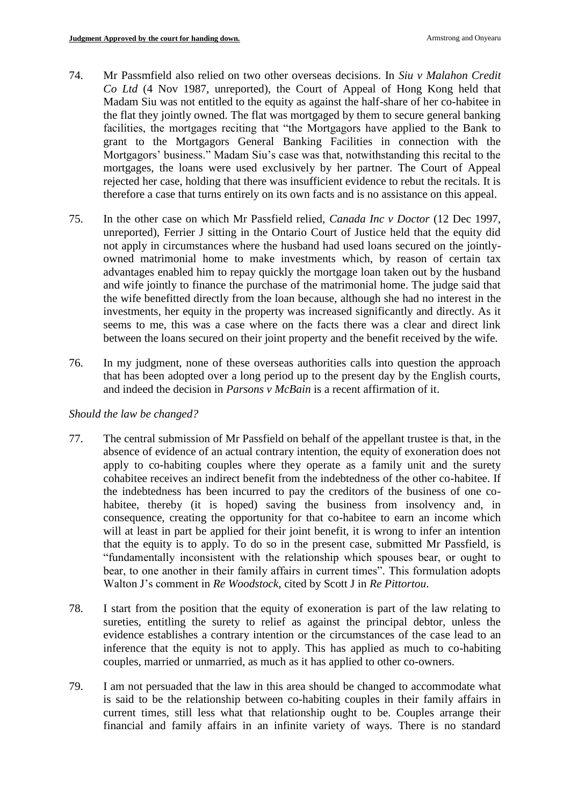- 74. Mr Passmfield also relied on two other overseas decisions. In *Siu v Malahon Credit Co Ltd* (4 Nov 1987, unreported), the Court of Appeal of Hong Kong held that Madam Siu was not entitled to the equity as against the half-share of her co-habitee in the flat they jointly owned. The flat was mortgaged by them to secure general banking facilities, the mortgages reciting that "the Mortgagors have applied to the Bank to grant to the Mortgagors General Banking Facilities in connection with the Mortgagors' business." Madam Siu's case was that, notwithstanding this recital to the mortgages, the loans were used exclusively by her partner. The Court of Appeal rejected her case, holding that there was insufficient evidence to rebut the recitals. It is therefore a case that turns entirely on its own facts and is no assistance on this appeal.
- 75. In the other case on which Mr Passfield relied, *Canada Inc v Doctor* (12 Dec 1997, unreported), Ferrier J sitting in the Ontario Court of Justice held that the equity did not apply in circumstances where the husband had used loans secured on the jointlyowned matrimonial home to make investments which, by reason of certain tax advantages enabled him to repay quickly the mortgage loan taken out by the husband and wife jointly to finance the purchase of the matrimonial home. The judge said that the wife benefitted directly from the loan because, although she had no interest in the investments, her equity in the property was increased significantly and directly. As it seems to me, this was a case where on the facts there was a clear and direct link between the loans secured on their joint property and the benefit received by the wife.
- 76. In my judgment, none of these overseas authorities calls into question the approach that has been adopted over a long period up to the present day by the English courts, and indeed the decision in *Parsons v McBain* is a recent affirmation of it.

## *Should the law be changed?*

- 77. The central submission of Mr Passfield on behalf of the appellant trustee is that, in the absence of evidence of an actual contrary intention, the equity of exoneration does not apply to co-habiting couples where they operate as a family unit and the surety cohabitee receives an indirect benefit from the indebtedness of the other co-habitee. If the indebtedness has been incurred to pay the creditors of the business of one cohabitee, thereby (it is hoped) saving the business from insolvency and, in consequence, creating the opportunity for that co-habitee to earn an income which will at least in part be applied for their joint benefit, it is wrong to infer an intention that the equity is to apply. To do so in the present case, submitted Mr Passfield, is "fundamentally inconsistent with the relationship which spouses bear, or ought to bear, to one another in their family affairs in current times". This formulation adopts Walton J's comment in *Re Woodstock*, cited by Scott J in *Re Pittortou*.
- 78. I start from the position that the equity of exoneration is part of the law relating to sureties, entitling the surety to relief as against the principal debtor, unless the evidence establishes a contrary intention or the circumstances of the case lead to an inference that the equity is not to apply. This has applied as much to co-habiting couples, married or unmarried, as much as it has applied to other co-owners.
- 79. I am not persuaded that the law in this area should be changed to accommodate what is said to be the relationship between co-habiting couples in their family affairs in current times, still less what that relationship ought to be. Couples arrange their financial and family affairs in an infinite variety of ways. There is no standard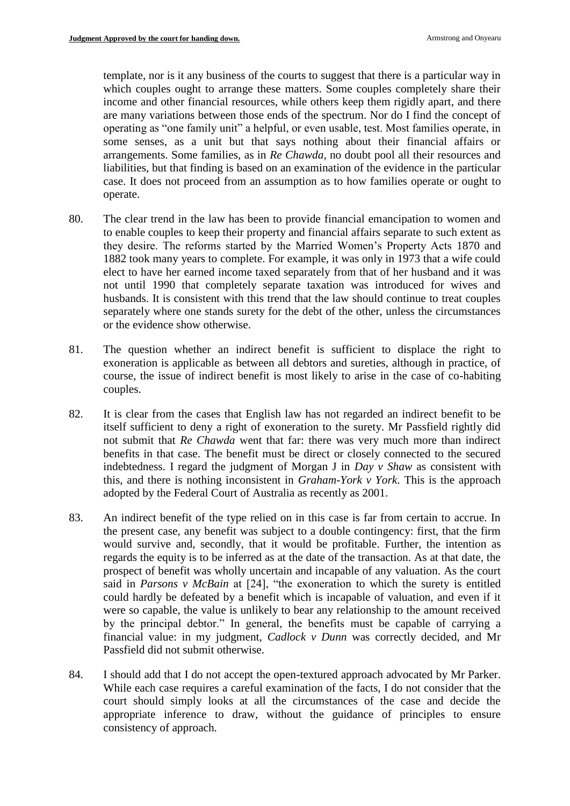template, nor is it any business of the courts to suggest that there is a particular way in which couples ought to arrange these matters. Some couples completely share their income and other financial resources, while others keep them rigidly apart, and there are many variations between those ends of the spectrum. Nor do I find the concept of operating as "one family unit" a helpful, or even usable, test. Most families operate, in some senses, as a unit but that says nothing about their financial affairs or arrangements. Some families, as in *Re Chawda,* no doubt pool all their resources and liabilities, but that finding is based on an examination of the evidence in the particular case. It does not proceed from an assumption as to how families operate or ought to operate.

- 80. The clear trend in the law has been to provide financial emancipation to women and to enable couples to keep their property and financial affairs separate to such extent as they desire. The reforms started by the Married Women's Property Acts 1870 and 1882 took many years to complete. For example, it was only in 1973 that a wife could elect to have her earned income taxed separately from that of her husband and it was not until 1990 that completely separate taxation was introduced for wives and husbands. It is consistent with this trend that the law should continue to treat couples separately where one stands surety for the debt of the other, unless the circumstances or the evidence show otherwise.
- 81. The question whether an indirect benefit is sufficient to displace the right to exoneration is applicable as between all debtors and sureties, although in practice, of course, the issue of indirect benefit is most likely to arise in the case of co-habiting couples.
- 82. It is clear from the cases that English law has not regarded an indirect benefit to be itself sufficient to deny a right of exoneration to the surety. Mr Passfield rightly did not submit that *Re Chawda* went that far: there was very much more than indirect benefits in that case. The benefit must be direct or closely connected to the secured indebtedness. I regard the judgment of Morgan J in *Day v Shaw* as consistent with this, and there is nothing inconsistent in *Graham-York v York*. This is the approach adopted by the Federal Court of Australia as recently as 2001.
- 83. An indirect benefit of the type relied on in this case is far from certain to accrue. In the present case, any benefit was subject to a double contingency: first, that the firm would survive and, secondly, that it would be profitable. Further, the intention as regards the equity is to be inferred as at the date of the transaction. As at that date, the prospect of benefit was wholly uncertain and incapable of any valuation. As the court said in *Parsons v McBain* at [24], "the exoneration to which the surety is entitled could hardly be defeated by a benefit which is incapable of valuation, and even if it were so capable, the value is unlikely to bear any relationship to the amount received by the principal debtor." In general, the benefits must be capable of carrying a financial value: in my judgment, *Cadlock v Dunn* was correctly decided, and Mr Passfield did not submit otherwise.
- 84. I should add that I do not accept the open-textured approach advocated by Mr Parker. While each case requires a careful examination of the facts, I do not consider that the court should simply looks at all the circumstances of the case and decide the appropriate inference to draw, without the guidance of principles to ensure consistency of approach.